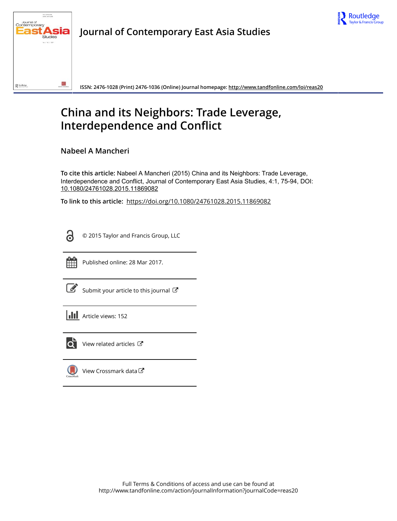



ISSN: 2476-1028 (Print) 2476-1036 (Online) Journal homepage: http://www.tandfonline.com/loi/reas20

# **China and its Neighbors: Trade Leverage, Interdependence and Conflict**

Nabeel A Mancheri

To cite this article: Nabeel A Mancheri (2015) China and its Neighbors: Trade Leverage, Interdependence and Conflict, Journal of Contemporary East Asia Studies, 4:1, 75-94, DOI: 10.1080/24761028.2015.11869082

To link to this article: https://doi.org/10.1080/24761028.2015.11869082

႕

© 2015 Taylor and Francis Group, LLC



Published online: 28 Mar 2017.

Submit your article to this journal C





View related articles C

View Crossmark data $\bm{\mathcal{C}}$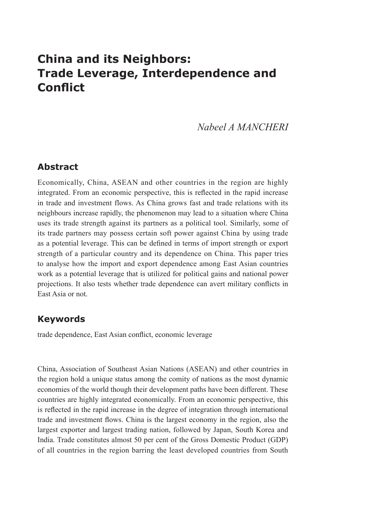## **China and its Neighbors: Trade Leverage, Interdependence and Conflict**

*Nabeel A MANCHERI*

## **Abstract**

Economically, China, ASEAN and other countries in the region are highly integrated. From an economic perspective, this is reflected in the rapid increase in trade and investment flows. As China grows fast and trade relations with its neighbours increase rapidly, the phenomenon may lead to a situation where China uses its trade strength against its partners as a political tool. Similarly, some of its trade partners may possess certain soft power against China by using trade as a potential leverage. This can be defined in terms of import strength or export strength of a particular country and its dependence on China. This paper tries to analyse how the import and export dependence among East Asian countries work as a potential leverage that is utilized for political gains and national power projections. It also tests whether trade dependence can avert military conflicts in East Asia or not.

## **Keywords**

trade dependence, East Asian conflict, economic leverage

China, Association of Southeast Asian Nations (ASEAN) and other countries in the region hold a unique status among the comity of nations as the most dynamic economies of the world though their development paths have been different. These countries are highly integrated economically. From an economic perspective, this is reflected in the rapid increase in the degree of integration through international trade and investment flows. China is the largest economy in the region, also the largest exporter and largest trading nation, followed by Japan, South Korea and India. Trade constitutes almost 50 per cent of the Gross Domestic Product (GDP) of all countries in the region barring the least developed countries from South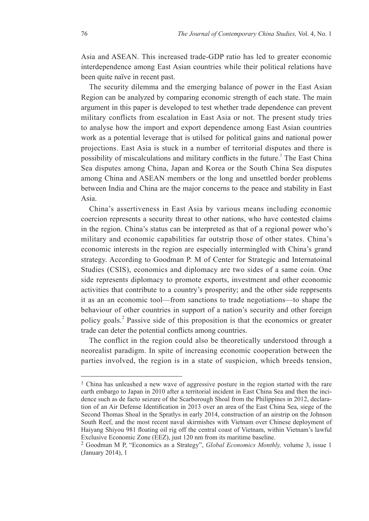Asia and ASEAN. This increased trade-GDP ratio has led to greater economic interdependence among East Asian countries while their political relations have been quite naïve in recent past.

The security dilemma and the emerging balance of power in the East Asian Region can be analyzed by comparing economic strength of each state. The main argument in this paper is developed to test whether trade dependence can prevent military conflicts from escalation in East Asia or not. The present study tries to analyse how the import and export dependence among East Asian countries work as a potential leverage that is utilsed for political gains and national power projections. East Asia is stuck in a number of territorial disputes and there is possibility of miscalculations and military conflicts in the future.<sup>1</sup> The East China Sea disputes among China, Japan and Korea or the South China Sea disputes among China and ASEAN members or the long and unsettled border problems between India and China are the major concerns to the peace and stability in East Asia.

China's assertiveness in East Asia by various means including economic coercion represents a security threat to other nations, who have contested claims in the region. China's status can be interpreted as that of a regional power who's military and economic capabilities far outstrip those of other states. China's economic interests in the region are especially intermingled with China's grand strategy. According to Goodman P. M of Center for Strategic and Internatoinal Studies (CSIS), economics and diplomacy are two sides of a same coin. One side represents diplomacy to promote exports, investment and other economic activities that contribute to a country's prosperity; and the other side repprsents it as an an economic tool—from sanctions to trade negotiations—to shape the behaviour of other countries in support of a nation's security and other foreign policy goals.<sup>2</sup> Passive side of this proposition is that the economics or greater trade can deter the potential conflicts among countries.

The conflict in the region could also be theoretically understood through a neorealist paradigm. In spite of increasing economic cooperation between the parties involved, the region is in a state of suspicion, which breeds tension,

 $1$  China has unleashed a new wave of aggressive posture in the region started with the rare earth embargo to Japan in 2010 after a territorial incident in East China Sea and then the incidence such as de facto seizure of the Scarborough Shoal from the Philippines in 2012, declaration of an Air Defense Identification in 2013 over an area of the East China Sea, siege of the Second Thomas Shoal in the Spratlys in early 2014, construction of an airstrip on the Johnson South Reef, and the most recent naval skirmishes with Vietnam over Chinese deployment of Haiyang Shiyou 981 floating oil rig off the central coast of Vietnam, within Vietnam's lawful Exclusive Economic Zone (EEZ), just 120 nm from its maritime baseline.

<sup>2</sup> Goodman M P, "Economics as a Strategy", *Global Economics Monthly,* volume 3, issue 1 (January 2014), 1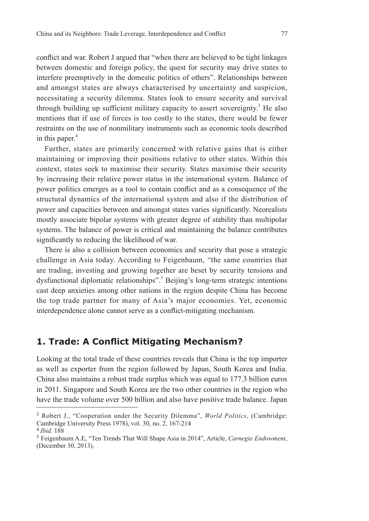conflict and war. Robert J argued that "when there are believed to be tight linkages between domestic and foreign policy, the quest for security may drive states to interfere preemptively in the domestic politics of others". Relationships between and amongst states are always characterised by uncertainty and suspicion, necessitating a security dilemma. States look to ensure security and survival through building up sufficient military capacity to assert sovereignty.<sup>3</sup> He also mentions that if use of forces is too costly to the states, there would be fewer restraints on the use of nonmilitary instruments such as economic tools described in this paper. $4$ 

Further, states are primarily concerned with relative gains that is either maintaining or improving their positions relative to other states. Within this context, states seek to maximise their security. States maximise their security by increasing their relative power status in the international system. Balance of power politics emerges as a tool to contain conflict and as a consequence of the structural dynamics of the international system and also if the distribution of power and capacities between and amongst states varies significantly. Neorealists mostly associate bipolar systems with greater degree of stability than multipolar systems. The balance of power is critical and maintaining the balance contributes significantly to reducing the likelihood of war.

There is also a collision between economics and security that pose a strategic challenge in Asia today. According to Feigenbaum, "the same countries that are trading, investing and growing together are beset by security tensions and dysfunctional diplomatic relationships".<sup>5</sup> Beijing's long-term strategic intentions cast deep anxieties among other nations in the region despite China has become the top trade partner for many of Asia's major economies. Yet, economic interdependence alone cannot serve as a conflict-mitigating mechanism.

## **1. Trade: A Conflict Mitigating Mechanism?**

Looking at the total trade of these countries reveals that China is the top importer as well as exporter from the region followed by Japan, South Korea and India. China also maintains a robust trade surplus which was equal to 177.3 billion euros in 2011. Singapore and South Korea are the two other countries in the region who have the trade volume over 500 billion and also have positive trade balance. Japan

<sup>3</sup> Robert J., "Cooperation under the Security Dilemma", *World Politics*, (Cambridge: Cambridge University Press 1978), vol. 30, no. 2, 167-214

<sup>4</sup>*Ibid.* 188

<sup>5</sup> Feigenbaum A.E, "Ten Trends That Will Shape Asia in 2014", Article, *Carnegie Endowment*, (December 30, 2013).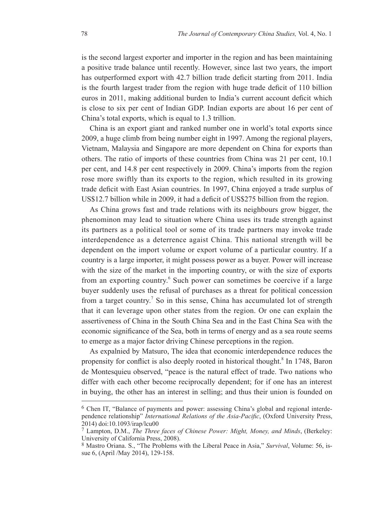is the second largest exporter and importer in the region and has been maintaining a positive trade balance until recently. However, since last two years, the import has outperformed export with 42.7 billion trade deficit starting from 2011. India is the fourth largest trader from the region with huge trade deficit of 110 billion euros in 2011, making additional burden to India's current account deficit which is close to six per cent of Indian GDP. Indian exports are about 16 per cent of China's total exports, which is equal to 1.3 trillion.

China is an export giant and ranked number one in world's total exports since 2009, a huge climb from being number eight in 1997. Among the regional players, Vietnam, Malaysia and Singapore are more dependent on China for exports than others. The ratio of imports of these countries from China was 21 per cent, 10.1 per cent, and 14.8 per cent respectively in 2009. China's imports from the region rose more swiftly than its exports to the region, which resulted in its growing trade deficit with East Asian countries. In 1997, China enjoyed a trade surplus of US\$12.7 billion while in 2009, it had a deficit of US\$275 billion from the region.

As China grows fast and trade relations with its neighbours grow bigger, the phenominon may lead to situation where China uses its trade strength against its partners as a political tool or some of its trade partners may invoke trade interdependence as a deterrence agaist China. This national strength will be dependent on the import volume or export volume of a particular country. If a country is a large importer, it might possess power as a buyer. Power will increase with the size of the market in the importing country, or with the size of exports from an exporting country.<sup>6</sup> Such power can sometimes be coercive if a large buyer suddenly uses the refusal of purchases as a threat for political concession from a target country.<sup>7</sup> So in this sense, China has accumulated lot of strength that it can leverage upon other states from the region. Or one can explain the assertiveness of China in the South China Sea and in the East China Sea with the economic significance of the Sea, both in terms of energy and as a sea route seems to emerge as a major factor driving Chinese perceptions in the region.

As expalnied by Matsuro, The idea that economic interdependence reduces the propensity for conflict is also deeply rooted in historical thought.<sup>8</sup> In 1748, Baron de Montesquieu observed, "peace is the natural effect of trade. Two nations who differ with each other become reciprocally dependent; for if one has an interest in buying, the other has an interest in selling; and thus their union is founded on

<sup>6</sup> Chen IT, "Balance of payments and power: assessing China's global and regional interdependence relationship" *International Relations of the Asia-Pacific*, (Oxford University Press, 2014) doi:10.1093/irap/lcu00

<sup>7</sup> Lampton, D.M., *The Three faces of Chinese Power: Might, Money, and Minds*, (Berkeley: University of California Press, 2008).

<sup>8</sup> Mastro Oriana. S., "The Problems with the Liberal Peace in Asia," *Survival*, Volume: 56, issue 6, (April /May 2014), 129-158.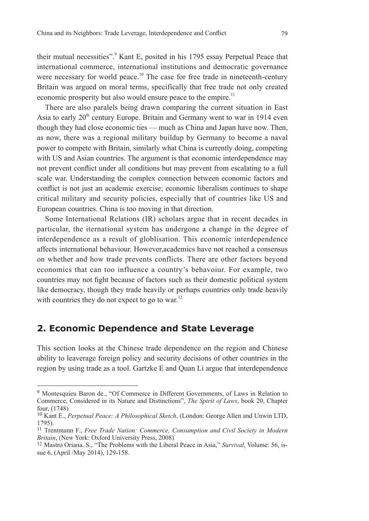their mutual necessities".<sup>9</sup> Kant E, posited in his 1795 essay Perpetual Peace that international commerce, international institutions and democratic governance were necessary for world peace.<sup>10</sup> The case for free trade in nineteenth-century Britain was argued on moral terms, specifically that free trade not only created economic prosperity but also would ensure peace to the empire.<sup>11</sup>

There are also paralels being drawn comparing the current situation in East Asia to early  $20<sup>th</sup>$  century Europe. Britain and Germany went to war in 1914 even though they had close economic ties — much as China and Japan have now. Then, as now, there was a regional military buildup by Germany to become a naval power to compete with Britain, similarly what China is currently doing, competing with US and Asian countries. The argument is that economic interdependence may not prevent conflict under all conditions but may prevent from escalating to a full scale war. Understanding the complex connection between economic factors and conflict is not just an academic exercise; economic liberalism continues to shape critical military and security policies, especially that of countries like US and European countries. China is too moving in that direction.

Some International Relations (IR) scholars argue that in recent decades in particular, the iternational system has undergone a change in the degree of interdependence as a result of globlisation. This economic interdependence affects international behaviour. However,academics have not reached a consensus on whether and how trade prevents conflicts. There are other factors beyond economics that can too influence a country's behavoiur. For example, two countries may not fight because of factors such as their domestic political system like democracy, though they trade heavily or perhaps countries only trade heavily with countries they do not expect to go to war.<sup>12</sup>

## **2. Economic Dependence and State Leverage**

This section looks at the Chinese trade dependence on the region and Chinese ability to leaverage foreign policy and security decisions of other countries in the region by using trade as a tool. Gartzke E and Quan Li argue that interdependence

<sup>9</sup> Montesquieu Baron de., "Of Commerce in Different Governments, of Laws in Relation to Commerce, Considered in its Nature and Distinctions", *The Spirit of Laws*, book 20, Chapter four, (1748)

<sup>10</sup> Kant E., *Perpetual Peace: A Philosophical Sketch*, (London: George Allen and Unwin LTD, 1795).

<sup>11</sup> Trentmann F., *Free Trade Nation: Commerce, Consumption and Civil Society in Modern Britain*, (New York: Oxford University Press, 2008)

<sup>12</sup> Mastro Oriana. S., "The Problems with the Liberal Peace in Asia," *Survival*, Volume: 56, issue 6, (April /May 2014), 129-158.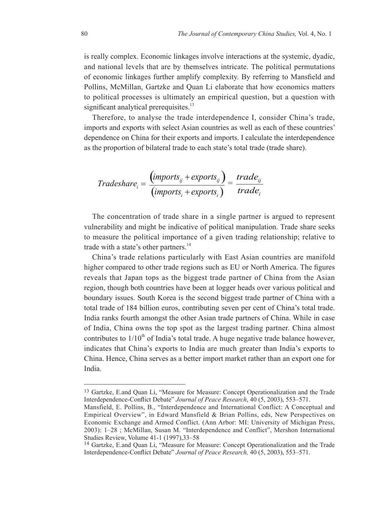is really complex. Economic linkages involve interactions at the systemic, dyadic, and national levels that are by themselves intricate. The political permutations of economic linkages further amplify complexity. By referring to Mansfield and Pollins, McMillan, Gartzke and Quan Li elaborate that how economics matters to political processes is ultimately an empirical question, but a question with significant analytical prerequisites. $13$ 

Therefore, to analyse the trade interdependence I, consider China's trade, imports and exports with select Asian countries as well as each of these countries' dependence on China for their exports and imports. I calculate the interdependence as the proportion of bilateral trade to each state's total trade (trade share).

$$
Tradeshare_i = \frac{(imports_{ij} + exports_{ij})}{(imports_i + exports_i)} = \frac{trade_{ij}}{trade_i}
$$

The concentration of trade share in a single partner is argued to represent vulnerability and might be indicative of political manipulation. Trade share seeks to measure the political importance of a given trading relationship; relative to trade with a state's other partners.<sup>14</sup>

China's trade relations particularly with East Asian countries are manifold higher compared to other trade regions such as EU or North America. The figures reveals that Japan tops as the biggest trade partner of China from the Asian region, though both countries have been at logger heads over various political and boundary issues. South Korea is the second biggest trade partner of China with a total trade of 184 billion euros, contributing seven per cent of China's total trade. India ranks fourth amongst the other Asian trade partners of China. While in case of India, China owns the top spot as the largest trading partner. China almost contributes to  $1/10<sup>th</sup>$  of India's total trade. A huge negative trade balance however, indicates that China's exports to India are much greater than India's exports to China. Hence, China serves as a better import market rather than an export one for India.

<sup>13</sup> Gartzke, E.and Quan Li, "Measure for Measure: Concept Operationalization and the Trade Interdependence-Conflict Debate" *Journal of Peace Research*, 40 (5, 2003), 553–571.

Mansfield, E. Pollins, B., "Interdependence and International Conflict: A Conceptual and Empirical Overview", in Edward Mansfield & Brian Pollins, eds, New Perspectives on Economic Exchange and Armed Conflict. (Ann Arbor: MI: University of Michigan Press, 2003): 1–28 ; McMillan, Susan M. "Interdependence and Conflict", Mershon International Studies Review, Volume 41-1 (1997),33–58

<sup>14</sup> Gartzke, E.and Quan Li, "Measure for Measure: Concept Operationalization and the Trade Interdependence-Conflict Debate" *Journal of Peace Research,* 40 (5, 2003), 553–571.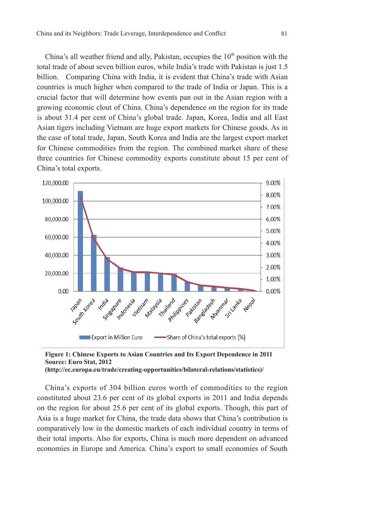China's all weather friend and ally, Pakistan, occupies the  $10<sup>th</sup>$  position with the total trade of about seven billion euros, while India's trade with Pakistan is just 1.5 billion. Comparing China with India, it is evident that China's trade with Asian countries is much higher when compared to the trade of India or Japan. This is a crucial factor that will determine how events pan out in the Asian region with a growing economic clout of China. China's dependence on the region for its trade is about 31.4 per cent of China's global trade. Japan, Korea, India and all East Asian tigers including Vietnam are huge export markets for Chinese goods. As in the case of total trade, Japan, South Korea and India are the largest export market for Chinese commodities from the region. The combined market share of these three countries for Chinese commodity exports constitute about 15 per cent of China's total exports.





China's exports of 304 billion euros worth of commodities to the region constituted about 23.6 per cent of its global exports in 2011 and India depends on the region for about 25.6 per cent of its global exports. Though, this part of Asia is a huge market for China, the trade data shows that China's contribution is comparatively low in the domestic markets of each individual country in terms of their total imports. Also for exports, China is much more dependent on advanced economies in Europe and America. China's export to small economies of South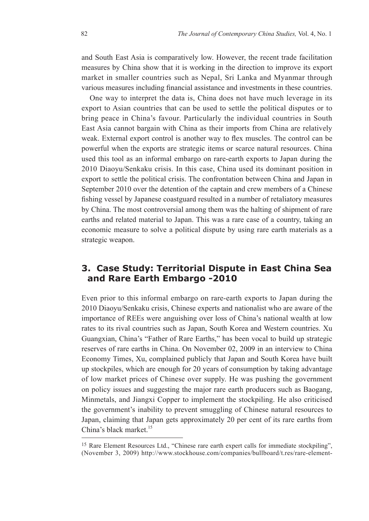and South East Asia is comparatively low. However, the recent trade facilitation measures by China show that it is working in the direction to improve its export market in smaller countries such as Nepal, Sri Lanka and Myanmar through various measures including financial assistance and investments in these countries.

One way to interpret the data is, China does not have much leverage in its export to Asian countries that can be used to settle the political disputes or to bring peace in China's favour. Particularly the individual countries in South East Asia cannot bargain with China as their imports from China are relatively weak. External export control is another way to flex muscles. The control can be powerful when the exports are strategic items or scarce natural resources. China used this tool as an informal embargo on rare-earth exports to Japan during the 2010 Diaoyu/Senkaku crisis. In this case, China used its dominant position in export to settle the political crisis. The confrontation between China and Japan in September 2010 over the detention of the captain and crew members of a Chinese fishing vessel by Japanese coastguard resulted in a number of retaliatory measures by China. The most controversial among them was the halting of shipment of rare earths and related material to Japan. This was a rare case of a country, taking an economic measure to solve a political dispute by using rare earth materials as a strategic weapon.

## **3. Case Study: Territorial Dispute in East China Sea and Rare Earth Embargo -2010**

Even prior to this informal embargo on rare-earth exports to Japan during the 2010 Diaoyu/Senkaku crisis, Chinese experts and nationalist who are aware of the importance of REEs were anguishing over loss of China's national wealth at low rates to its rival countries such as Japan, South Korea and Western countries. Xu Guangxian, China's "Father of Rare Earths," has been vocal to build up strategic reserves of rare earths in China. On November 02, 2009 in an interview to China Economy Times, Xu, complained publicly that Japan and South Korea have built up stockpiles, which are enough for 20 years of consumption by taking advantage of low market prices of Chinese over supply. He was pushing the government on policy issues and suggesting the major rare earth producers such as Baogang, Minmetals, and Jiangxi Copper to implement the stockpiling. He also criticised the government's inability to prevent smuggling of Chinese natural resources to Japan, claiming that Japan gets approximately 20 per cent of its rare earths from China's black market.<sup>15</sup>

<sup>15</sup> Rare Element Resources Ltd., "Chinese rare earth expert calls for immediate stockpiling", (November 3, 2009) http://www.stockhouse.com/companies/bullboard/t.res/rare-element-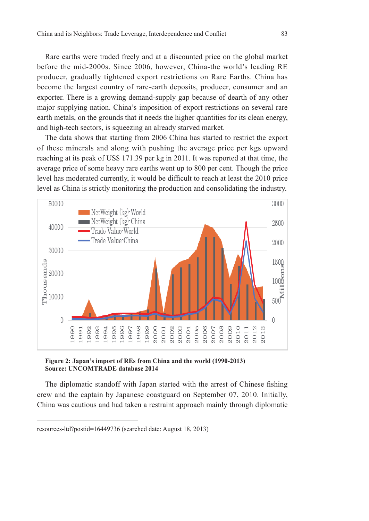Rare earths were traded freely and at a discounted price on the global market before the mid-2000s. Since 2006, however, China-the world's leading RE producer, gradually tightened export restrictions on Rare Earths. China has become the largest country of rare-earth deposits, producer, consumer and an exporter. There is a growing demand-supply gap because of dearth of any other major supplying nation. China's imposition of export restrictions on several rare earth metals, on the grounds that it needs the higher quantities for its clean energy, and high-tech sectors, is squeezing an already starved market.

The data shows that starting from 2006 China has started to restrict the export of these minerals and along with pushing the average price per kgs upward reaching at its peak of US\$ 171.39 per kg in 2011. It was reported at that time, the average price of some heavy rare earths went up to 800 per cent. Though the price level has moderated currently, it would be difficult to reach at least the 2010 price level as China is strictly monitoring the production and consolidating the industry.



**Figure 2: Japan's import of REs from China and the world (1990-2013) Source: UNCOMTRADE database 2014**

The diplomatic standoff with Japan started with the arrest of Chinese fishing crew and the captain by Japanese coastguard on September 07, 2010. Initially, China was cautious and had taken a restraint approach mainly through diplomatic

resources-ltd?postid=16449736 (searched date: August 18, 2013)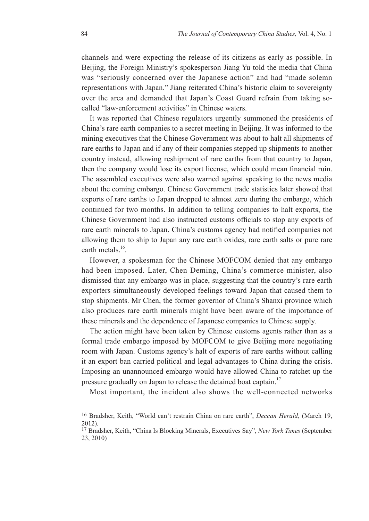channels and were expecting the release of its citizens as early as possible. In Beijing, the Foreign Ministry's spokesperson Jiang Yu told the media that China was "seriously concerned over the Japanese action" and had "made solemn representations with Japan." Jiang reiterated China's historic claim to sovereignty over the area and demanded that Japan's Coast Guard refrain from taking socalled "law-enforcement activities" in Chinese waters.

It was reported that Chinese regulators urgently summoned the presidents of China's rare earth companies to a secret meeting in Beijing. It was informed to the mining executives that the Chinese Government was about to halt all shipments of rare earths to Japan and if any of their companies stepped up shipments to another country instead, allowing reshipment of rare earths from that country to Japan, then the company would lose its export license, which could mean financial ruin. The assembled executives were also warned against speaking to the news media about the coming embargo. Chinese Government trade statistics later showed that exports of rare earths to Japan dropped to almost zero during the embargo, which continued for two months. In addition to telling companies to halt exports, the Chinese Government had also instructed customs officials to stop any exports of rare earth minerals to Japan. China's customs agency had notified companies not allowing them to ship to Japan any rare earth oxides, rare earth salts or pure rare earth metals $16$ 

However, a spokesman for the Chinese MOFCOM denied that any embargo had been imposed. Later, Chen Deming, China's commerce minister, also dismissed that any embargo was in place, suggesting that the country's rare earth exporters simultaneously developed feelings toward Japan that caused them to stop shipments. Mr Chen, the former governor of China's Shanxi province which also produces rare earth minerals might have been aware of the importance of these minerals and the dependence of Japanese companies to Chinese supply.

The action might have been taken by Chinese customs agents rather than as a formal trade embargo imposed by MOFCOM to give Beijing more negotiating room with Japan. Customs agency's halt of exports of rare earths without calling it an export ban carried political and legal advantages to China during the crisis. Imposing an unannounced embargo would have allowed China to ratchet up the pressure gradually on Japan to release the detained boat captain.<sup>17</sup>

Most important, the incident also shows the well-connected networks

<sup>16</sup> Bradsher, Keith, "World can't restrain China on rare earth", *Deccan Herald*, (March 19, 2012).

<sup>17</sup> Bradsher, Keith, "China Is Blocking Minerals, Executives Say", *New York Times* (September 23, 2010)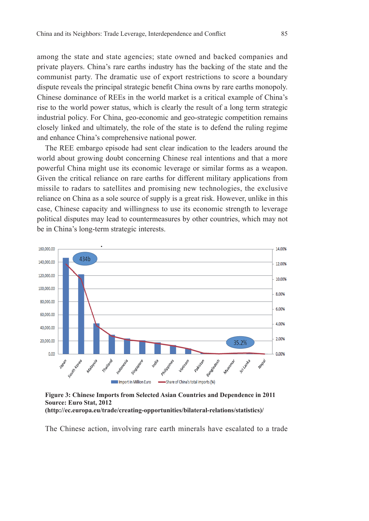among the state and state agencies; state owned and backed companies and private players. China's rare earths industry has the backing of the state and the communist party. The dramatic use of export restrictions to score a boundary dispute reveals the principal strategic benefit China owns by rare earths monopoly. Chinese dominance of REEs in the world market is a critical example of China's rise to the world power status, which is clearly the result of a long term strategic industrial policy. For China, geo-economic and geo-strategic competition remains closely linked and ultimately, the role of the state is to defend the ruling regime and enhance China's comprehensive national power.

The REE embargo episode had sent clear indication to the leaders around the world about growing doubt concerning Chinese real intentions and that a more powerful China might use its economic leverage or similar forms as a weapon. Given the critical reliance on rare earths for different military applications from missile to radars to satellites and promising new technologies, the exclusive reliance on China as a sole source of supply is a great risk. However, unlike in this case, Chinese capacity and willingness to use its economic strength to leverage political disputes may lead to countermeasures by other countries, which may not be in China's long-term strategic interests.



**Figure 3: Chinese Imports from Selected Asian Countries and Dependence in 2011 Source: Euro Stat, 2012 (http://ec.europa.eu/trade/creating-opportunities/bilateral-relations/statistics)/**

The Chinese action, involving rare earth minerals have escalated to a trade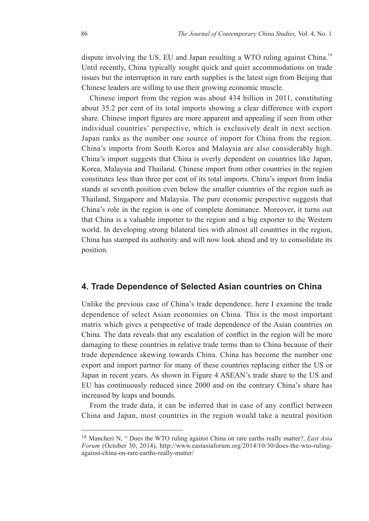dispute involving the US, EU and Japan resulting a WTO ruling against China.<sup>18</sup> Until recently, China typically sought quick and quiet accommodations on trade issues but the interruption in rare earth supplies is the latest sign from Beijing that Chinese leaders are willing to use their growing economic muscle.

Chinese import from the region was about 434 billion in 2011, constituting about 35.2 per cent of its total imports showing a clear difference with export share. Chinese import figures are more apparent and appealing if seen from other individual countries' perspective, which is exclusively dealt in next section. Japan ranks as the number one source of import for China from the region. China's imports from South Korea and Malaysia are also considerably high. China's import suggests that China is overly dependent on countries like Japan, Korea, Malaysia and Thailand. Chinese import from other countries in the region constitutes less than three per cent of its total imports. China's import from India stands at seventh position even below the smaller countries of the region such as Thailand, Singapore and Malaysia. The pure economic perspective suggests that China's role in the region is one of complete dominance. Moreover, it turns out that China is a valuable importer to the region and a big exporter to the Western world. In developing strong bilateral ties with almost all countries in the region, China has stamped its authority and will now look ahead and try to consolidate its position.

#### **4. Trade Dependence of Selected Asian countries on China**

Unlike the previous case of China's trade dependence, here I examine the trade dependence of select Asian economies on China. This is the most important matrix which gives a perspective of trade dependence of the Asian countries on China. The data reveals that any escalation of conflict in the region will be more damaging to these countries in relative trade terms than to China because of their trade dependence skewing towards China. China has become the number one export and import partner for many of these countries replacing either the US or Japan in recent years. As shown in Figure 4 ASEAN's trade share to the US and EU has continuously reduced since 2000 and on the contrary China's share has increased by leaps and bounds.

From the trade data, it can be inferred that in case of any conflict between China and Japan, most countries in the region would take a neutral position

<sup>18</sup> Mancheri N, " Does the WTO ruling against China on rare earths really matter?, *East Asia Forum* (October 30, 2014), http://www.eastasiaforum.org/2014/10/30/does-the-wto-rulingagainst-china-on-rare-earths-really-matter/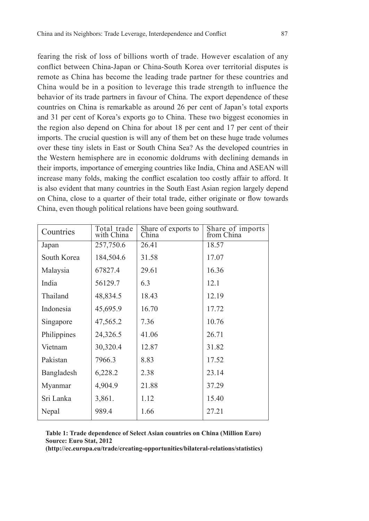fearing the risk of loss of billions worth of trade. However escalation of any conflict between China-Japan or China-South Korea over territorial disputes is remote as China has become the leading trade partner for these countries and China would be in a position to leverage this trade strength to influence the behavior of its trade partners in favour of China. The export dependence of these countries on China is remarkable as around 26 per cent of Japan's total exports and 31 per cent of Korea's exports go to China. These two biggest economies in the region also depend on China for about 18 per cent and 17 per cent of their imports. The crucial question is will any of them bet on these huge trade volumes over these tiny islets in East or South China Sea? As the developed countries in the Western hemisphere are in economic doldrums with declining demands in their imports, importance of emerging countries like India, China and ASEAN will increase many folds, making the conflict escalation too costly affair to afford. It is also evident that many countries in the South East Asian region largely depend on China, close to a quarter of their total trade, either originate or flow towards China, even though political relations have been going southward.

| Countries   | Total trade<br>with China | Share of exports to<br>China | Share of imports<br>from China |
|-------------|---------------------------|------------------------------|--------------------------------|
| Japan       | 257,750.6                 | 26.41                        | 18.57                          |
| South Korea | 184,504.6                 | 31.58                        | 17.07                          |
| Malaysia    | 67827.4                   | 29.61                        | 16.36                          |
| India       | 56129.7                   | 6.3                          | 12.1                           |
| Thailand    | 48,834.5                  | 18.43                        | 12.19                          |
| Indonesia   | 45,695.9                  | 16.70                        | 17.72                          |
| Singapore   | 47,565.2                  | 7.36                         | 10.76                          |
| Philippines | 24,326.5                  | 41.06                        | 26.71                          |
| Vietnam     | 30,320.4                  | 12.87                        | 31.82                          |
| Pakistan    | 7966.3                    | 8.83                         | 17.52                          |
| Bangladesh  | 6,228.2                   | 2.38                         | 23.14                          |
| Myanmar     | 4,904.9                   | 21.88                        | 37.29                          |
| Sri Lanka   | 3,861.                    | 1.12                         | 15.40                          |
| Nepal       | 989.4                     | 1.66                         | 27.21                          |

**Table 1: Trade dependence of Select Asian countries on China (Million Euro) Source: Euro Stat, 2012**

**(http://ec.europa.eu/trade/creating-opportunities/bilateral-relations/statistics)**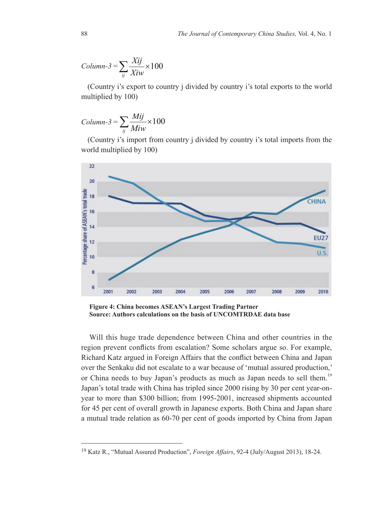$$
Column-3 = \sum_{ij} \frac{Xij}{Xiw} \times 100
$$

 (Country i's export to country j divided by country i's total exports to the world multiplied by 100)

$$
Column-3 = \sum_{ij} \frac{Mij}{Miw} \times 100
$$

 (Country i's import from country j divided by country i's total imports from the world multiplied by 100)



**Figure 4: China becomes ASEAN's Largest Trading Partner Source: Authors calculations on the basis of UNCOMTRDAE data base** 

Will this huge trade dependence between China and other countries in the region prevent conflicts from escalation? Some scholars argue so. For example, Richard Katz argued in Foreign Affairs that the conflict between China and Japan over the Senkaku did not escalate to a war because of 'mutual assured production,' or China needs to buy Japan's products as much as Japan needs to sell them.<sup>19</sup> Japan's total trade with China has tripled since 2000 rising by 30 per cent year-onyear to more than \$300 billion; from 1995-2001, increased shipments accounted for 45 per cent of overall growth in Japanese exports. Both China and Japan share a mutual trade relation as 60-70 per cent of goods imported by China from Japan

<sup>19</sup> Katz R., "Mutual Assured Production", *Foreign Affairs*, 92-4 (July/August 2013), 18-24.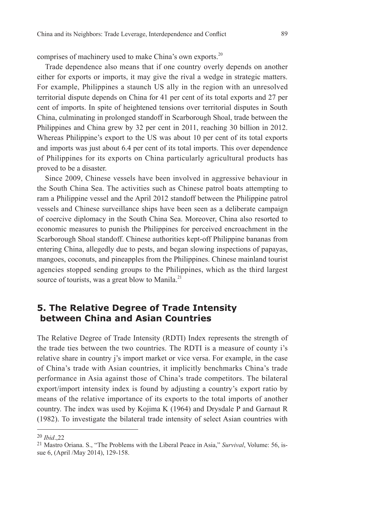comprises of machinery used to make China's own exports.<sup>20</sup>

Trade dependence also means that if one country overly depends on another either for exports or imports, it may give the rival a wedge in strategic matters. For example, Philippines a staunch US ally in the region with an unresolved territorial dispute depends on China for 41 per cent of its total exports and 27 per cent of imports. In spite of heightened tensions over territorial disputes in South China, culminating in prolonged standoff in Scarborough Shoal, trade between the Philippines and China grew by 32 per cent in 2011, reaching 30 billion in 2012. Whereas Philippine's export to the US was about 10 per cent of its total exports and imports was just about 6.4 per cent of its total imports. This over dependence of Philippines for its exports on China particularly agricultural products has proved to be a disaster.

Since 2009, Chinese vessels have been involved in aggressive behaviour in the South China Sea. The activities such as Chinese patrol boats attempting to ram a Philippine vessel and the April 2012 standoff between the Philippine patrol vessels and Chinese surveillance ships have been seen as a deliberate campaign of coercive diplomacy in the South China Sea. Moreover, China also resorted to economic measures to punish the Philippines for perceived encroachment in the Scarborough Shoal standoff. Chinese authorities kept-off Philippine bananas from entering China, allegedly due to pests, and began slowing inspections of papayas, mangoes, coconuts, and pineapples from the Philippines. Chinese mainland tourist agencies stopped sending groups to the Philippines, which as the third largest source of tourists, was a great blow to Manila. $^{21}$ 

## **5. The Relative Degree of Trade Intensity between China and Asian Countries**

The Relative Degree of Trade Intensity (RDTI) Index represents the strength of the trade ties between the two countries. The RDTI is a measure of county i's relative share in country j's import market or vice versa. For example, in the case of China's trade with Asian countries, it implicitly benchmarks China's trade performance in Asia against those of China's trade competitors. The bilateral export/import intensity index is found by adjusting a country's export ratio by means of the relative importance of its exports to the total imports of another country. The index was used by Kojima K (1964) and Drysdale P and Garnaut R (1982). To investigate the bilateral trade intensity of select Asian countries with

<sup>20</sup> *Ibid*.,22

<sup>21</sup> Mastro Oriana. S., "The Problems with the Liberal Peace in Asia," *Survival*, Volume: 56, issue 6, (April /May 2014), 129-158.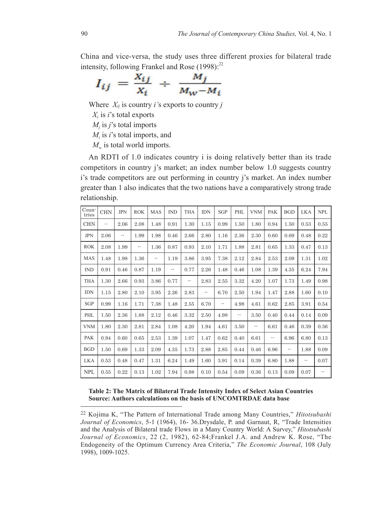China and vice-versa, the study uses three different proxies for bilateral trade intensity, following Frankel and Rose  $(1998)$ :<sup>22</sup>

$$
I_{ij} = \frac{X_{ij}}{X_i} \div \frac{M_j}{M_W - M_i}
$$

Where  $X_{ij}$  is country *i*'s exports to country *j* 

 $X_i$  is *i*'s total exports

 $M_j$  is *j*'s total imports

 $M_i$  is *i*'s total imports, and

 $M_w$  is total world imports.

An RDTI of 1.0 indicates country i is doing relatively better than its trade competitors in country j's market; an index number below 1.0 suggests country i's trade competitors are out performing in country j's market. An index number greater than 1 also indicates that the two nations have a comparatively strong trade relationship.

| Coun-<br>tries | <b>CHN</b>               | <b>JPN</b> | <b>ROK</b>             | <b>MAS</b> | <b>IND</b> | <b>THA</b> | <b>IDN</b> | <b>SGP</b> | PHL  | <b>VNM</b> | <b>PAK</b>               | <b>BGD</b>    | <b>LKA</b> | <b>NPL</b> |
|----------------|--------------------------|------------|------------------------|------------|------------|------------|------------|------------|------|------------|--------------------------|---------------|------------|------------|
| <b>CHN</b>     | $\overline{\phantom{a}}$ | 2.06       | 2.08                   | 1.48       | 0.91       | 1.30       | 1.15       | 0.99       | 1.50 | 1.80       | 0.94                     | 1.50          | 0.53       | 0.55       |
| <b>JPN</b>     | 2.06                     | ۰.         | 1.99                   | 1.98       | 0.46       | 2.66       | 2.80       | 1.16       | 2.36 | 2.30       | 0.60                     | 0.69          | 0.48       | 0.22       |
| <b>ROK</b>     | 2.08                     | 1.99       | $\qquad \qquad \cdots$ | 1.36       | 0.87       | 0.93       | 2.10       | 1.71       | 1.88 | 2.81       | 0.65                     | 1.33          | 0.47       | 0.13       |
| <b>MAS</b>     | 1.48                     | 1.98       | 1.36                   | ٠.         | 1.19       | 3.86       | 3.95       | 7.38       | 2.12 | 2.84       | 2.53                     | 2.09          | 1.31       | 1.02       |
| <b>IND</b>     | 0.91                     | 0.46       | 0.87                   | 1.19       | ۰.         | 0.77       | 2.26       | 1.48       | 0.46 | 1.08       | 1.39                     | 4.35          | 6.24       | 7.94       |
| <b>THA</b>     | 1.30                     | 2.66       | 0.93                   | 3.86       | 0.77       | ۰.         | 2.83       | 2.55       | 3.32 | 4.20       | 1.07                     | 1.73          | 1.49       | 0.98       |
| <b>IDN</b>     | 1.15                     | 2.80       | 2.10                   | 3.95       | 2.26       | 2.83       | ٠.         | 6.70       | 2.50 | 1.94       | 1.47                     | 2.88          | 1.60       | 0.10       |
| SGP            | 0.99                     | 1.16       | 1.71                   | 7.38       | 1.48       | 2.55       | 6.70       | ۰.         | 4.98 | 4.61       | 0.62                     | 2.85          | 3.91       | 0.54       |
| PHL            | 1.50                     | 2.36       | 1.88                   | 2.12       | 0.46       | 3.32       | 2.50       | 4.98       | ٠.   | 3.50       | 0.40                     | 0.44          | 0.14       | 0.09       |
| <b>VNM</b>     | 1.80                     | 2.30       | 2.81                   | 2.84       | 1.08       | 4.20       | 1.94       | 4.61       | 3.50 | ۰.         | 6.61                     | 0.46          | 0.39       | 0.36       |
| <b>PAK</b>     | 0.94                     | 0.60       | 0.65                   | 2.53       | 1.39       | 1.07       | 1.47       | 0.62       | 0.40 | 6.61       | $\overline{\phantom{a}}$ | 6.96          | 6.80       | 0.13       |
| <b>BGD</b>     | 1.50                     | 0.69       | 1.33                   | 2.09       | 4.35       | 1.73       | 2.88       | 2.85       | 0.44 | 0.46       | 6.96                     | $\sim$ $\sim$ | 1.88       | 0.09       |
| <b>LKA</b>     | 0.53                     | 0.48       | 0.47                   | 1.31       | 6.24       | 1.49       | 1.60       | 3.91       | 0.14 | 0.39       | 6.80                     | 1.88          | ٠.         | 0.07       |
| <b>NPL</b>     | 0.55                     | 0.22       | 0.13                   | 1.02       | 7.94       | 0.98       | 0.10       | 0.54       | 0.09 | 0.36       | 0.13                     | 0.09          | 0.07       | --         |

#### **Table 2: The Matrix of Bilateral Trade Intensity Index of Select Asian Countries Source: Authors calculations on the basis of UNCOMTRDAE data base**

<sup>22</sup> Kojima K, "The Pattern of International Trade among Many Countries," *Hitotsubashi Journal of Economics*, 5-1 (1964), 16- 36.Drysdale, P. and Garnaut, R, "Trade Intensities and the Analysis of Bilateral trade Flows in a Many Country World: A Survey," *Hitotsubashi Journal of Economics*, 22 (2, 1982), 62-84;Frankel J.A. and Andrew K. Rose, "The Endogeneity of the Optimum Currency Area Criteria," *The Economic Journal*, 108 (July 1998), 1009-1025.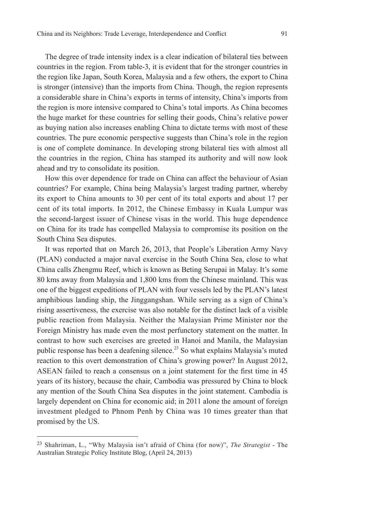## The degree of trade intensity index is a clear indication of bilateral ties between countries in the region. From table-3, it is evident that for the stronger countries in the region like Japan, South Korea, Malaysia and a few others, the export to China is stronger (intensive) than the imports from China. Though, the region represents a considerable share in China's exports in terms of intensity, China's imports from the region is more intensive compared to China's total imports. As China becomes the huge market for these countries for selling their goods, China's relative power as buying nation also increases enabling China to dictate terms with most of these countries. The pure economic perspective suggests than China's role in the region is one of complete dominance. In developing strong bilateral ties with almost all the countries in the region, China has stamped its authority and will now look ahead and try to consolidate its position.

How this over dependence for trade on China can affect the behaviour of Asian countries? For example, China being Malaysia's largest trading partner, whereby its export to China amounts to 30 per cent of its total exports and about 17 per cent of its total imports. In 2012, the Chinese Embassy in Kuala Lumpur was the second-largest issuer of Chinese visas in the world. This huge dependence on China for its trade has compelled Malaysia to compromise its position on the South China Sea disputes.

It was reported that on March 26, 2013, that People's Liberation Army Navy (PLAN) conducted a major naval exercise in the South China Sea, close to what China calls Zhengmu Reef, which is known as Beting Serupai in Malay. It's some 80 kms away from Malaysia and 1,800 kms from the Chinese mainland. This was one of the biggest expeditions of PLAN with four vessels led by the PLAN's latest amphibious landing ship, the Jinggangshan. While serving as a sign of China's rising assertiveness, the exercise was also notable for the distinct lack of a visible public reaction from Malaysia. Neither the Malaysian Prime Minister nor the Foreign Ministry has made even the most perfunctory statement on the matter. In contrast to how such exercises are greeted in Hanoi and Manila, the Malaysian public response has been a deafening silence.<sup>23</sup> So what explains Malaysia's muted reaction to this overt demonstration of China's growing power? In August 2012, ASEAN failed to reach a consensus on a joint statement for the first time in 45 years of its history, because the chair, Cambodia was pressured by China to block any mention of the South China Sea disputes in the joint statement. Cambodia is largely dependent on China for economic aid; in 2011 alone the amount of foreign investment pledged to Phnom Penh by China was 10 times greater than that promised by the US.

<sup>23</sup> Shahriman, L., "Why Malaysia isn't afraid of China (for now)", *The Strategist* - The Australian Strategic Policy Institute Blog, (April 24, 2013)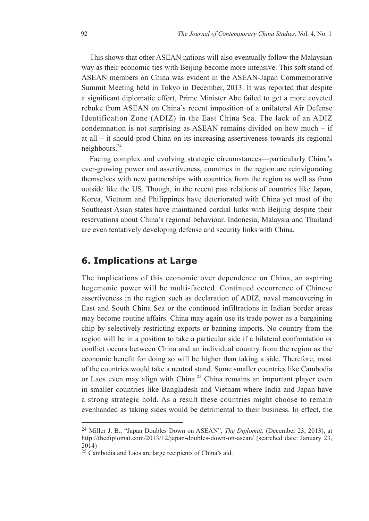This shows that other ASEAN nations will also eventually follow the Malaysian way as their economic ties with Beijing become more intensive. This soft stand of ASEAN members on China was evident in the ASEAN-Japan Commemorative Summit Meeting held in Tokyo in December, 2013. It was reported that despite a significant diplomatic effort, Prime Minister Abe failed to get a more coveted rebuke from ASEAN on China's recent imposition of a unilateral Air Defense Identification Zone (ADIZ) in the East China Sea. The lack of an ADIZ condemnation is not surprising as ASEAN remains divided on how much  $-$  if at all – it should prod China on its increasing assertiveness towards its regional neighbours.<sup>24</sup>

Facing complex and evolving strategic circumstances—particularly China's ever-growing power and assertiveness, countries in the region are reinvigorating themselves with new partnerships with countries from the region as well as from outside like the US. Though, in the recent past relations of countries like Japan, Korea, Vietnam and Philippines have deteriorated with China yet most of the Southeast Asian states have maintained cordial links with Beijing despite their reservations about China's regional behaviour. Indonesia, Malaysia and Thailand are even tentatively developing defense and security links with China.

### **6. Implications at Large**

The implications of this economic over dependence on China, an aspiring hegemonic power will be multi-faceted. Continued occurrence of Chinese assertiveness in the region such as declaration of ADIZ, naval maneuvering in East and South China Sea or the continued infiltrations in Indian border areas may become routine affairs. China may again use its trade power as a bargaining chip by selectively restricting exports or banning imports. No country from the region will be in a position to take a particular side if a bilateral confrontation or conflict occurs between China and an individual country from the region as the economic benefit for doing so will be higher than taking a side. Therefore, most of the countries would take a neutral stand. Some smaller countries like Cambodia or Laos even may align with China.<sup>25</sup> China remains an important player even in smaller countries like Bangladesh and Vietnam where India and Japan have a strong strategic hold. As a result these countries might choose to remain evenhanded as taking sides would be detrimental to their business. In effect, the

<sup>24</sup> Miller J. B., "Japan Doubles Down on ASEAN", *The Diplomat,* (December 23, 2013), at http://thediplomat.com/2013/12/japan-doubles-down-on-asean/ (searched date: January 23, 2014)

<sup>25</sup> Cambodia and Laos are large recipients of China's aid.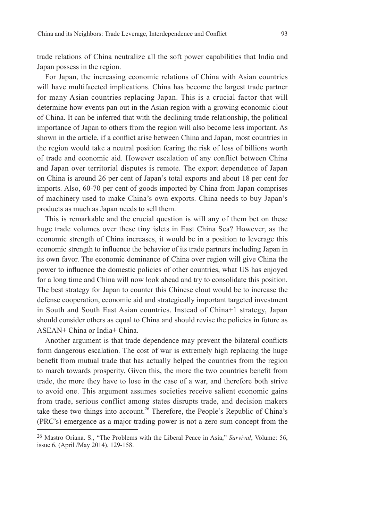trade relations of China neutralize all the soft power capabilities that India and Japan possess in the region.

For Japan, the increasing economic relations of China with Asian countries will have multifaceted implications. China has become the largest trade partner for many Asian countries replacing Japan. This is a crucial factor that will determine how events pan out in the Asian region with a growing economic clout of China. It can be inferred that with the declining trade relationship, the political importance of Japan to others from the region will also become less important. As shown in the article, if a conflict arise between China and Japan, most countries in the region would take a neutral position fearing the risk of loss of billions worth of trade and economic aid. However escalation of any conflict between China and Japan over territorial disputes is remote. The export dependence of Japan on China is around 26 per cent of Japan's total exports and about 18 per cent for imports. Also, 60-70 per cent of goods imported by China from Japan comprises of machinery used to make China's own exports. China needs to buy Japan's products as much as Japan needs to sell them.

This is remarkable and the crucial question is will any of them bet on these huge trade volumes over these tiny islets in East China Sea? However, as the economic strength of China increases, it would be in a position to leverage this economic strength to influence the behavior of its trade partners including Japan in its own favor. The economic dominance of China over region will give China the power to influence the domestic policies of other countries, what US has enjoyed for a long time and China will now look ahead and try to consolidate this position. The best strategy for Japan to counter this Chinese clout would be to increase the defense cooperation, economic aid and strategically important targeted investment in South and South East Asian countries. Instead of China+1 strategy, Japan should consider others as equal to China and should revise the policies in future as ASEAN+ China or India+ China.

Another argument is that trade dependence may prevent the bilateral conflicts form dangerous escalation. The cost of war is extremely high replacing the huge benefit from mutual trade that has actually helped the countries from the region to march towards prosperity. Given this, the more the two countries benefit from trade, the more they have to lose in the case of a war, and therefore both strive to avoid one. This argument assumes societies receive salient economic gains from trade, serious conflict among states disrupts trade, and decision makers take these two things into account.<sup>26</sup> Therefore, the People's Republic of China's (PRC's) emergence as a major trading power is not a zero sum concept from the

<sup>26</sup> Mastro Oriana. S., "The Problems with the Liberal Peace in Asia," *Survival*, Volume: 56, issue 6, (April /May 2014), 129-158.